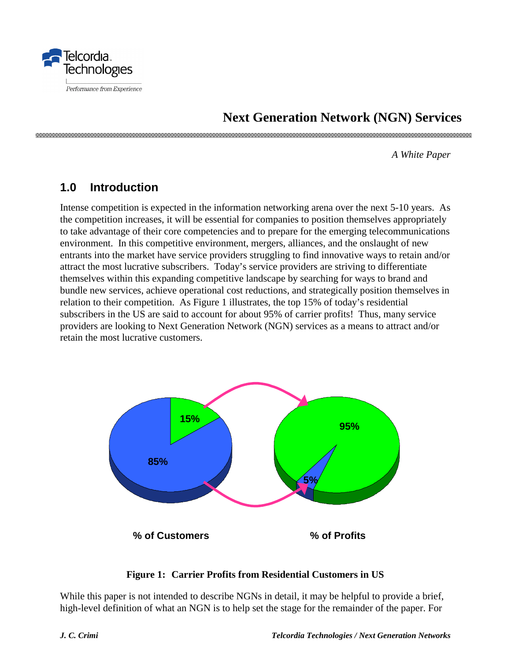

# **Next Generation Network (NGN) Services**

*A White Paper*

### **1.0 Introduction**

Intense competition is expected in the information networking arena over the next 5-10 years. As the competition increases, it will be essential for companies to position themselves appropriately to take advantage of their core competencies and to prepare for the emerging telecommunications environment. In this competitive environment, mergers, alliances, and the onslaught of new entrants into the market have service providers struggling to find innovative ways to retain and/or attract the most lucrative subscribers. Today's service providers are striving to differentiate themselves within this expanding competitive landscape by searching for ways to brand and bundle new services, achieve operational cost reductions, and strategically position themselves in relation to their competition. As Figure 1 illustrates, the top 15% of today's residential subscribers in the US are said to account for about 95% of carrier profits! Thus, many service providers are looking to Next Generation Network (NGN) services as a means to attract and/or retain the most lucrative customers.



#### **Figure 1: Carrier Profits from Residential Customers in US**

While this paper is not intended to describe NGNs in detail, it may be helpful to provide a brief, high-level definition of what an NGN is to help set the stage for the remainder of the paper. For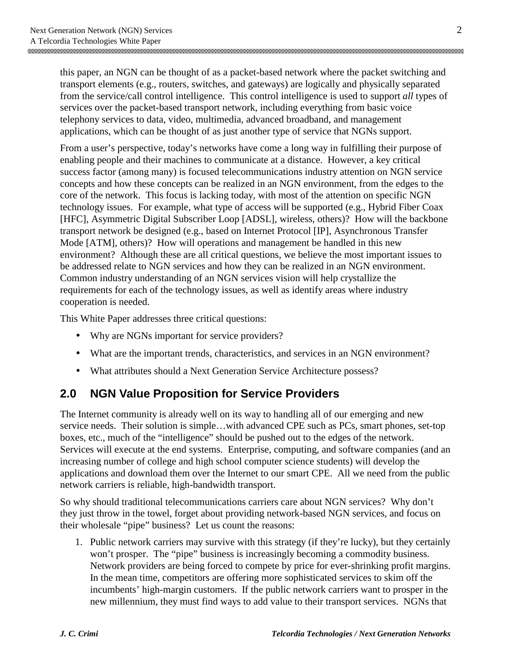this paper, an NGN can be thought of as a packet-based network where the packet switching and transport elements (e.g., routers, switches, and gateways) are logically and physically separated from the service/call control intelligence. This control intelligence is used to support *all* types of services over the packet-based transport network, including everything from basic voice telephony services to data, video, multimedia, advanced broadband, and management applications, which can be thought of as just another type of service that NGNs support.

From a user's perspective, today's networks have come a long way in fulfilling their purpose of enabling people and their machines to communicate at a distance. However, a key critical success factor (among many) is focused telecommunications industry attention on NGN service concepts and how these concepts can be realized in an NGN environment, from the edges to the core of the network. This focus is lacking today, with most of the attention on specific NGN technology issues. For example, what type of access will be supported (e.g., Hybrid Fiber Coax [HFC], Asymmetric Digital Subscriber Loop [ADSL], wireless, others)? How will the backbone transport network be designed (e.g., based on Internet Protocol [IP], Asynchronous Transfer Mode [ATM], others)? How will operations and management be handled in this new environment? Although these are all critical questions, we believe the most important issues to be addressed relate to NGN services and how they can be realized in an NGN environment. Common industry understanding of an NGN services vision will help crystallize the requirements for each of the technology issues, as well as identify areas where industry cooperation is needed.

This White Paper addresses three critical questions:

- Why are NGNs important for service providers?
- What are the important trends, characteristics, and services in an NGN environment?
- What attributes should a Next Generation Service Architecture possess?

### **2.0 NGN Value Proposition for Service Providers**

The Internet community is already well on its way to handling all of our emerging and new service needs. Their solution is simple…with advanced CPE such as PCs, smart phones, set-top boxes, etc., much of the "intelligence" should be pushed out to the edges of the network. Services will execute at the end systems. Enterprise, computing, and software companies (and an increasing number of college and high school computer science students) will develop the applications and download them over the Internet to our smart CPE. All we need from the public network carriers is reliable, high-bandwidth transport.

So why should traditional telecommunications carriers care about NGN services? Why don't they just throw in the towel, forget about providing network-based NGN services, and focus on their wholesale "pipe" business? Let us count the reasons:

1. Public network carriers may survive with this strategy (if they're lucky), but they certainly won't prosper. The "pipe" business is increasingly becoming a commodity business. Network providers are being forced to compete by price for ever-shrinking profit margins. In the mean time, competitors are offering more sophisticated services to skim off the incumbents' high-margin customers. If the public network carriers want to prosper in the new millennium, they must find ways to add value to their transport services. NGNs that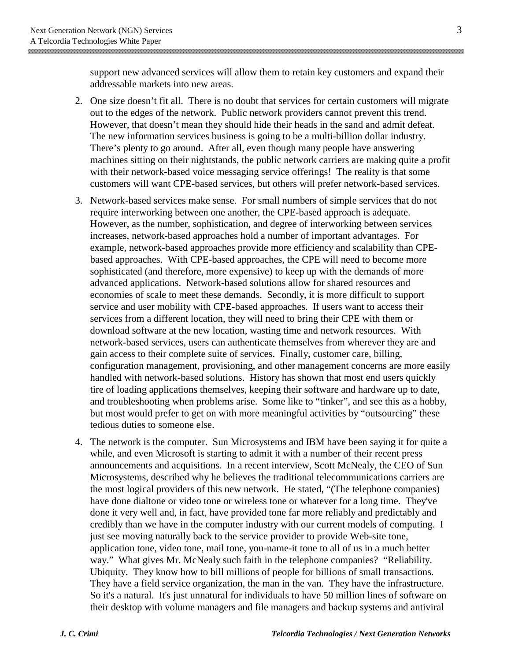support new advanced services will allow them to retain key customers and expand their addressable markets into new areas.

- 2. One size doesn't fit all. There is no doubt that services for certain customers will migrate out to the edges of the network. Public network providers cannot prevent this trend. However, that doesn't mean they should hide their heads in the sand and admit defeat. The new information services business is going to be a multi-billion dollar industry. There's plenty to go around. After all, even though many people have answering machines sitting on their nightstands, the public network carriers are making quite a profit with their network-based voice messaging service offerings! The reality is that some customers will want CPE-based services, but others will prefer network-based services.
- 3. Network-based services make sense. For small numbers of simple services that do not require interworking between one another, the CPE-based approach is adequate. However, as the number, sophistication, and degree of interworking between services increases, network-based approaches hold a number of important advantages. For example, network-based approaches provide more efficiency and scalability than CPEbased approaches. With CPE-based approaches, the CPE will need to become more sophisticated (and therefore, more expensive) to keep up with the demands of more advanced applications. Network-based solutions allow for shared resources and economies of scale to meet these demands. Secondly, it is more difficult to support service and user mobility with CPE-based approaches. If users want to access their services from a different location, they will need to bring their CPE with them or download software at the new location, wasting time and network resources. With network-based services, users can authenticate themselves from wherever they are and gain access to their complete suite of services. Finally, customer care, billing, configuration management, provisioning, and other management concerns are more easily handled with network-based solutions. History has shown that most end users quickly tire of loading applications themselves, keeping their software and hardware up to date, and troubleshooting when problems arise. Some like to "tinker", and see this as a hobby, but most would prefer to get on with more meaningful activities by "outsourcing" these tedious duties to someone else.
- 4. The network is the computer. Sun Microsystems and IBM have been saying it for quite a while, and even Microsoft is starting to admit it with a number of their recent press announcements and acquisitions. In a recent interview, Scott McNealy, the CEO of Sun Microsystems, described why he believes the traditional telecommunications carriers are the most logical providers of this new network. He stated, "(The telephone companies) have done dialtone or video tone or wireless tone or whatever for a long time. They've done it very well and, in fact, have provided tone far more reliably and predictably and credibly than we have in the computer industry with our current models of computing. I just see moving naturally back to the service provider to provide Web-site tone, application tone, video tone, mail tone, you-name-it tone to all of us in a much better way." What gives Mr. McNealy such faith in the telephone companies? "Reliability. Ubiquity. They know how to bill millions of people for billions of small transactions. They have a field service organization, the man in the van. They have the infrastructure. So it's a natural. It's just unnatural for individuals to have 50 million lines of software on their desktop with volume managers and file managers and backup systems and antiviral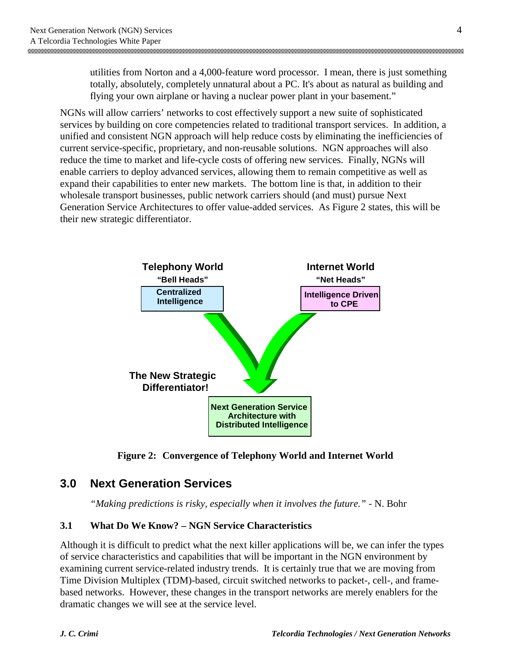utilities from Norton and a 4,000-feature word processor. I mean, there is just something totally, absolutely, completely unnatural about a PC. It's about as natural as building and flying your own airplane or having a nuclear power plant in your basement."

NGNs will allow carriers' networks to cost effectively support a new suite of sophisticated services by building on core competencies related to traditional transport services. In addition, a unified and consistent NGN approach will help reduce costs by eliminating the inefficiencies of current service-specific, proprietary, and non-reusable solutions. NGN approaches will also reduce the time to market and life-cycle costs of offering new services. Finally, NGNs will enable carriers to deploy advanced services, allowing them to remain competitive as well as expand their capabilities to enter new markets. The bottom line is that, in addition to their wholesale transport businesses, public network carriers should (and must) pursue Next Generation Service Architectures to offer value-added services. As Figure 2 states, this will be their new strategic differentiator.



**Figure 2: Convergence of Telephony World and Internet World**

### **3.0 Next Generation Services**

*"Making predictions is risky, especially when it involves the future."* - N. Bohr

### **3.1 What Do We Know? – NGN Service Characteristics**

Although it is difficult to predict what the next killer applications will be, we can infer the types of service characteristics and capabilities that will be important in the NGN environment by examining current service-related industry trends. It is certainly true that we are moving from Time Division Multiplex (TDM)-based, circuit switched networks to packet-, cell-, and framebased networks. However, these changes in the transport networks are merely enablers for the dramatic changes we will see at the service level.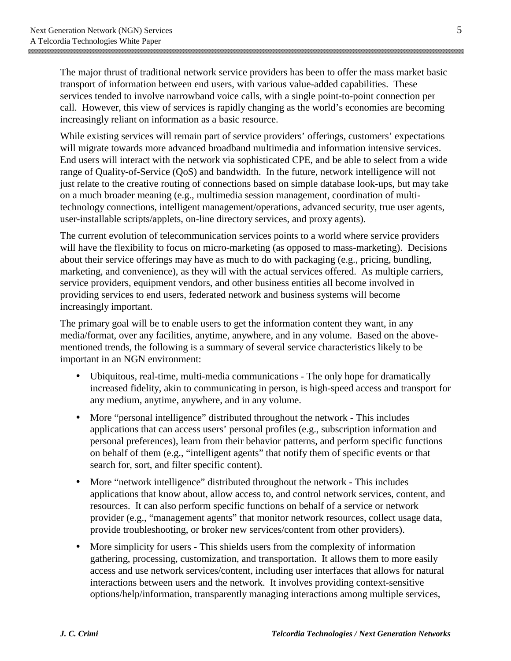The major thrust of traditional network service providers has been to offer the mass market basic transport of information between end users, with various value-added capabilities. These services tended to involve narrowband voice calls, with a single point-to-point connection per call. However, this view of services is rapidly changing as the world's economies are becoming increasingly reliant on information as a basic resource.

While existing services will remain part of service providers' offerings, customers' expectations will migrate towards more advanced broadband multimedia and information intensive services. End users will interact with the network via sophisticated CPE, and be able to select from a wide range of Quality-of-Service (QoS) and bandwidth. In the future, network intelligence will not just relate to the creative routing of connections based on simple database look-ups, but may take on a much broader meaning (e.g., multimedia session management, coordination of multitechnology connections, intelligent management/operations, advanced security, true user agents, user-installable scripts/applets, on-line directory services, and proxy agents).

The current evolution of telecommunication services points to a world where service providers will have the flexibility to focus on micro-marketing (as opposed to mass-marketing). Decisions about their service offerings may have as much to do with packaging (e.g., pricing, bundling, marketing, and convenience), as they will with the actual services offered. As multiple carriers, service providers, equipment vendors, and other business entities all become involved in providing services to end users, federated network and business systems will become increasingly important.

The primary goal will be to enable users to get the information content they want, in any media/format, over any facilities, anytime, anywhere, and in any volume. Based on the abovementioned trends, the following is a summary of several service characteristics likely to be important in an NGN environment:

- Ubiquitous, real-time, multi-media communications The only hope for dramatically increased fidelity, akin to communicating in person, is high-speed access and transport for any medium, anytime, anywhere, and in any volume.
- More "personal intelligence" distributed throughout the network This includes applications that can access users' personal profiles (e.g., subscription information and personal preferences), learn from their behavior patterns, and perform specific functions on behalf of them (e.g., "intelligent agents" that notify them of specific events or that search for, sort, and filter specific content).
- More "network intelligence" distributed throughout the network This includes applications that know about, allow access to, and control network services, content, and resources. It can also perform specific functions on behalf of a service or network provider (e.g., "management agents" that monitor network resources, collect usage data, provide troubleshooting, or broker new services/content from other providers).
- More simplicity for users This shields users from the complexity of information gathering, processing, customization, and transportation. It allows them to more easily access and use network services/content, including user interfaces that allows for natural interactions between users and the network. It involves providing context-sensitive options/help/information, transparently managing interactions among multiple services,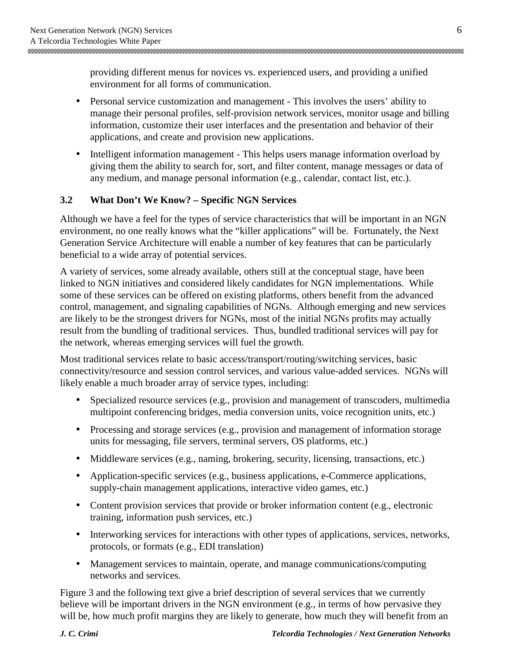providing different menus for novices vs. experienced users, and providing a unified environment for all forms of communication.

- Personal service customization and management This involves the users' ability to manage their personal profiles, self-provision network services, monitor usage and billing information, customize their user interfaces and the presentation and behavior of their applications, and create and provision new applications.
- Intelligent information management This helps users manage information overload by giving them the ability to search for, sort, and filter content, manage messages or data of any medium, and manage personal information (e.g., calendar, contact list, etc.).

#### **3.2 What Don't We Know? – Specific NGN Services**

Although we have a feel for the types of service characteristics that will be important in an NGN environment, no one really knows what the "killer applications" will be. Fortunately, the Next Generation Service Architecture will enable a number of key features that can be particularly beneficial to a wide array of potential services.

A variety of services, some already available, others still at the conceptual stage, have been linked to NGN initiatives and considered likely candidates for NGN implementations. While some of these services can be offered on existing platforms, others benefit from the advanced control, management, and signaling capabilities of NGNs. Although emerging and new services are likely to be the strongest drivers for NGNs, most of the initial NGNs profits may actually result from the bundling of traditional services. Thus, bundled traditional services will pay for the network, whereas emerging services will fuel the growth.

Most traditional services relate to basic access/transport/routing/switching services, basic connectivity/resource and session control services, and various value-added services. NGNs will likely enable a much broader array of service types, including:

- Specialized resource services (e.g., provision and management of transcoders, multimedia multipoint conferencing bridges, media conversion units, voice recognition units, etc.)
- Processing and storage services (e.g., provision and management of information storage units for messaging, file servers, terminal servers, OS platforms, etc.)
- Middleware services (e.g., naming, brokering, security, licensing, transactions, etc.)
- Application-specific services (e.g., business applications, e-Commerce applications, supply-chain management applications, interactive video games, etc.)
- Content provision services that provide or broker information content (e.g., electronic training, information push services, etc.)
- Interworking services for interactions with other types of applications, services, networks, protocols, or formats (e.g., EDI translation)
- Management services to maintain, operate, and manage communications/computing networks and services.

Figure 3 and the following text give a brief description of several services that we currently believe will be important drivers in the NGN environment (e.g., in terms of how pervasive they will be, how much profit margins they are likely to generate, how much they will benefit from an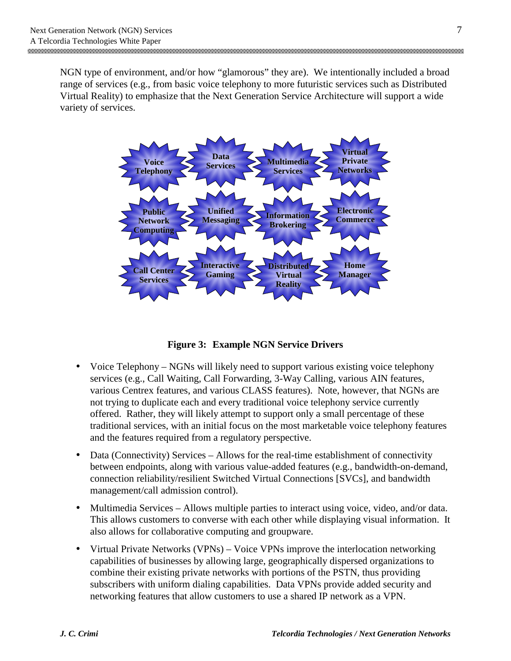NGN type of environment, and/or how "glamorous" they are). We intentionally included a broad range of services (e.g., from basic voice telephony to more futuristic services such as Distributed Virtual Reality) to emphasize that the Next Generation Service Architecture will support a wide variety of services.



**Figure 3: Example NGN Service Drivers**

- Voice Telephony NGNs will likely need to support various existing voice telephony services (e.g., Call Waiting, Call Forwarding, 3-Way Calling, various AIN features, various Centrex features, and various CLASS features). Note, however, that NGNs are not trying to duplicate each and every traditional voice telephony service currently offered. Rather, they will likely attempt to support only a small percentage of these traditional services, with an initial focus on the most marketable voice telephony features and the features required from a regulatory perspective.
- Data (Connectivity) Services Allows for the real-time establishment of connectivity between endpoints, along with various value-added features (e.g., bandwidth-on-demand, connection reliability/resilient Switched Virtual Connections [SVCs], and bandwidth management/call admission control).
- Multimedia Services Allows multiple parties to interact using voice, video, and/or data. This allows customers to converse with each other while displaying visual information. It also allows for collaborative computing and groupware.
- Virtual Private Networks (VPNs) Voice VPNs improve the interlocation networking capabilities of businesses by allowing large, geographically dispersed organizations to combine their existing private networks with portions of the PSTN, thus providing subscribers with uniform dialing capabilities. Data VPNs provide added security and networking features that allow customers to use a shared IP network as a VPN.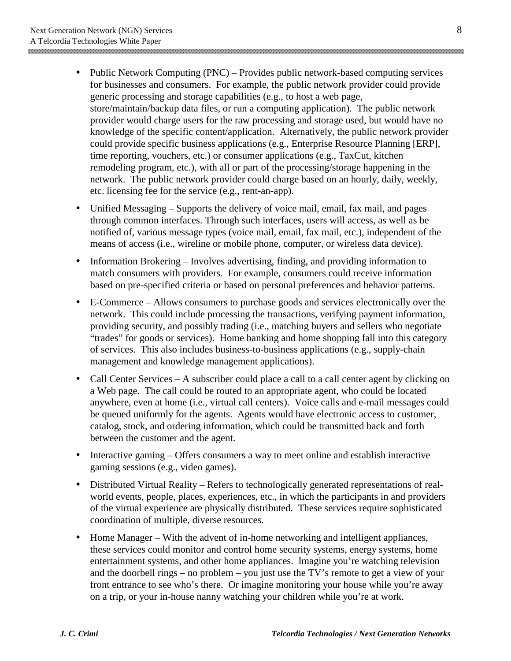- Public Network Computing (PNC) Provides public network-based computing services for businesses and consumers. For example, the public network provider could provide generic processing and storage capabilities (e.g., to host a web page, store/maintain/backup data files, or run a computing application). The public network provider would charge users for the raw processing and storage used, but would have no knowledge of the specific content/application. Alternatively, the public network provider could provide specific business applications (e.g., Enterprise Resource Planning [ERP], time reporting, vouchers, etc.) or consumer applications (e.g., TaxCut, kitchen remodeling program, etc.), with all or part of the processing/storage happening in the network. The public network provider could charge based on an hourly, daily, weekly, etc. licensing fee for the service (e.g., rent-an-app).
- Unified Messaging Supports the delivery of voice mail, email, fax mail, and pages through common interfaces. Through such interfaces, users will access, as well as be notified of, various message types (voice mail, email, fax mail, etc.), independent of the means of access (i.e., wireline or mobile phone, computer, or wireless data device).
- Information Brokering Involves advertising, finding, and providing information to match consumers with providers. For example, consumers could receive information based on pre-specified criteria or based on personal preferences and behavior patterns.
- E-Commerce Allows consumers to purchase goods and services electronically over the network. This could include processing the transactions, verifying payment information, providing security, and possibly trading (i.e., matching buyers and sellers who negotiate "trades" for goods or services). Home banking and home shopping fall into this category of services. This also includes business-to-business applications (e.g., supply-chain management and knowledge management applications).
- Call Center Services A subscriber could place a call to a call center agent by clicking on a Web page. The call could be routed to an appropriate agent, who could be located anywhere, even at home (i.e., virtual call centers). Voice calls and e-mail messages could be queued uniformly for the agents. Agents would have electronic access to customer, catalog, stock, and ordering information, which could be transmitted back and forth between the customer and the agent.
- Interactive gaming Offers consumers a way to meet online and establish interactive gaming sessions (e.g., video games).
- Distributed Virtual Reality Refers to technologically generated representations of realworld events, people, places, experiences, etc., in which the participants in and providers of the virtual experience are physically distributed. These services require sophisticated coordination of multiple, diverse resources.
- Home Manager With the advent of in-home networking and intelligent appliances, these services could monitor and control home security systems, energy systems, home entertainment systems, and other home appliances. Imagine you're watching television and the doorbell rings – no problem – you just use the TV's remote to get a view of your front entrance to see who's there. Or imagine monitoring your house while you're away on a trip, or your in-house nanny watching your children while you're at work.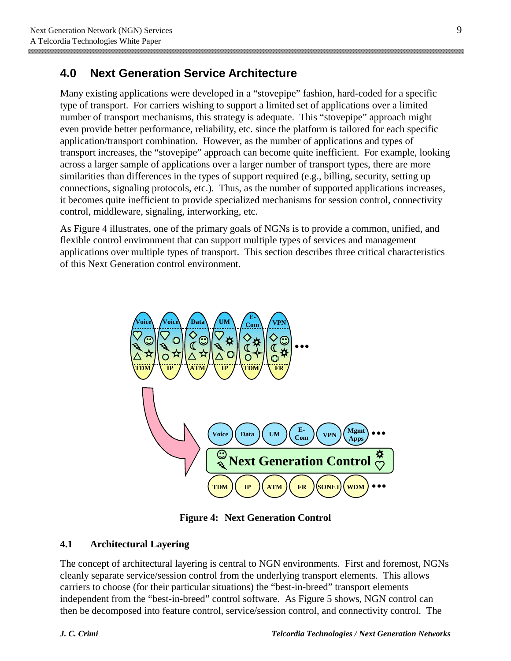### **4.0 Next Generation Service Architecture**

Many existing applications were developed in a "stovepipe" fashion, hard-coded for a specific type of transport. For carriers wishing to support a limited set of applications over a limited number of transport mechanisms, this strategy is adequate. This "stovepipe" approach might even provide better performance, reliability, etc. since the platform is tailored for each specific application/transport combination. However, as the number of applications and types of transport increases, the "stovepipe" approach can become quite inefficient. For example, looking across a larger sample of applications over a larger number of transport types, there are more similarities than differences in the types of support required (e.g., billing, security, setting up connections, signaling protocols, etc.). Thus, as the number of supported applications increases, it becomes quite inefficient to provide specialized mechanisms for session control, connectivity control, middleware, signaling, interworking, etc.

As Figure 4 illustrates, one of the primary goals of NGNs is to provide a common, unified, and flexible control environment that can support multiple types of services and management applications over multiple types of transport. This section describes three critical characteristics of this Next Generation control environment.



**Figure 4: Next Generation Control**

#### **4.1 Architectural Layering**

The concept of architectural layering is central to NGN environments. First and foremost, NGNs cleanly separate service/session control from the underlying transport elements. This allows carriers to choose (for their particular situations) the "best-in-breed" transport elements independent from the "best-in-breed" control software. As Figure 5 shows, NGN control can then be decomposed into feature control, service/session control, and connectivity control. The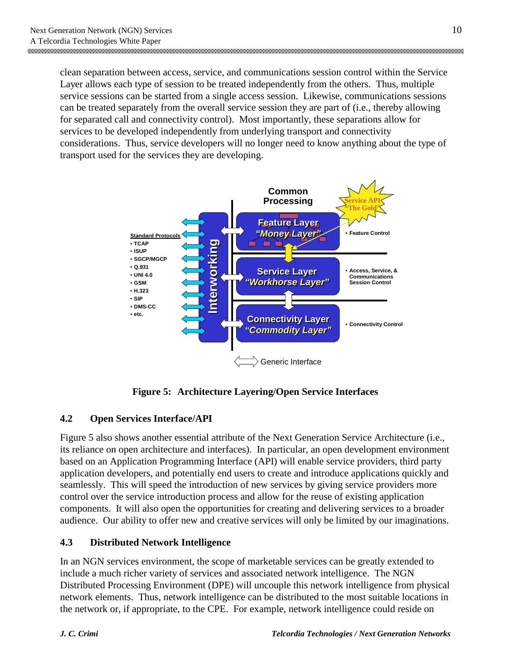clean separation between access, service, and communications session control within the Service Layer allows each type of session to be treated independently from the others. Thus, multiple service sessions can be started from a single access session. Likewise, communications sessions can be treated separately from the overall service session they are part of (i.e., thereby allowing for separated call and connectivity control). Most importantly, these separations allow for services to be developed independently from underlying transport and connectivity considerations. Thus, service developers will no longer need to know anything about the type of transport used for the services they are developing.



**Figure 5: Architecture Layering/Open Service Interfaces**

### **4.2 Open Services Interface/API**

Figure 5 also shows another essential attribute of the Next Generation Service Architecture (i.e., its reliance on open architecture and interfaces). In particular, an open development environment based on an Application Programming Interface (API) will enable service providers, third party application developers, and potentially end users to create and introduce applications quickly and seamlessly. This will speed the introduction of new services by giving service providers more control over the service introduction process and allow for the reuse of existing application components. It will also open the opportunities for creating and delivering services to a broader audience. Our ability to offer new and creative services will only be limited by our imaginations.

### **4.3 Distributed Network Intelligence**

In an NGN services environment, the scope of marketable services can be greatly extended to include a much richer variety of services and associated network intelligence. The NGN Distributed Processing Environment (DPE) will uncouple this network intelligence from physical network elements. Thus, network intelligence can be distributed to the most suitable locations in the network or, if appropriate, to the CPE. For example, network intelligence could reside on